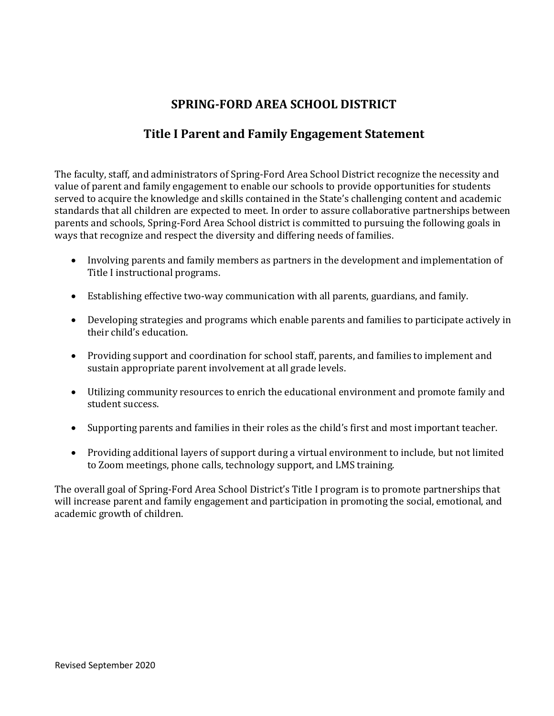## **SPRING-FORD AREA SCHOOL DISTRICT**

## **Title I Parent and Family Engagement Statement**

The faculty, staff, and administrators of Spring-Ford Area School District recognize the necessity and value of parent and family engagement to enable our schools to provide opportunities for students served to acquire the knowledge and skills contained in the State's challenging content and academic standards that all children are expected to meet. In order to assure collaborative partnerships between parents and schools, Spring-Ford Area School district is committed to pursuing the following goals in ways that recognize and respect the diversity and differing needs of families.

- Involving parents and family members as partners in the development and implementation of Title I instructional programs.
- Establishing effective two-way communication with all parents, guardians, and family.
- Developing strategies and programs which enable parents and families to participate actively in their child's education.
- Providing support and coordination for school staff, parents, and families to implement and sustain appropriate parent involvement at all grade levels.
- Utilizing community resources to enrich the educational environment and promote family and student success.
- Supporting parents and families in their roles as the child's first and most important teacher.
- Providing additional layers of support during a virtual environment to include, but not limited to Zoom meetings, phone calls, technology support, and LMS training.

The overall goal of Spring-Ford Area School District's Title I program is to promote partnerships that will increase parent and family engagement and participation in promoting the social, emotional, and academic growth of children.